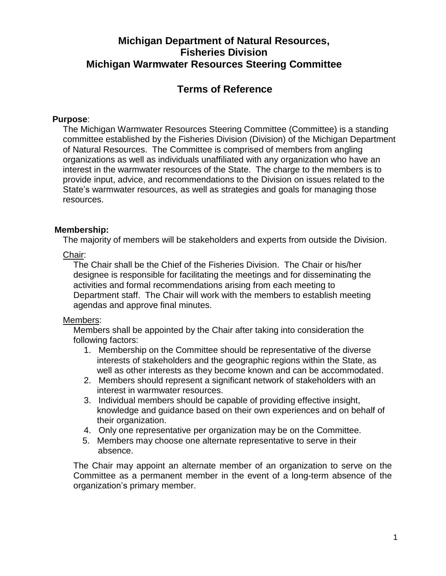# **Michigan Department of Natural Resources, Fisheries Division Michigan Warmwater Resources Steering Committee**

# **Terms of Reference**

### **Purpose**:

The Michigan Warmwater Resources Steering Committee (Committee) is a standing committee established by the Fisheries Division (Division) of the Michigan Department of Natural Resources. The Committee is comprised of members from angling organizations as well as individuals unaffiliated with any organization who have an interest in the warmwater resources of the State. The charge to the members is to provide input, advice, and recommendations to the Division on issues related to the State's warmwater resources, as well as strategies and goals for managing those resources.

### **Membership:**

The majority of members will be stakeholders and experts from outside the Division.

### Chair:

The Chair shall be the Chief of the Fisheries Division. The Chair or his/her designee is responsible for facilitating the meetings and for disseminating the activities and formal recommendations arising from each meeting to Department staff. The Chair will work with the members to establish meeting agendas and approve final minutes.

### Members:

Members shall be appointed by the Chair after taking into consideration the following factors:

- 1. Membership on the Committee should be representative of the diverse interests of stakeholders and the geographic regions within the State, as well as other interests as they become known and can be accommodated.
- 2. Members should represent a significant network of stakeholders with an interest in warmwater resources.
- 3. Individual members should be capable of providing effective insight, knowledge and guidance based on their own experiences and on behalf of their organization.
- 4. Only one representative per organization may be on the Committee.
- 5. Members may choose one alternate representative to serve in their absence.

The Chair may appoint an alternate member of an organization to serve on the Committee as a permanent member in the event of a long-term absence of the organization's primary member.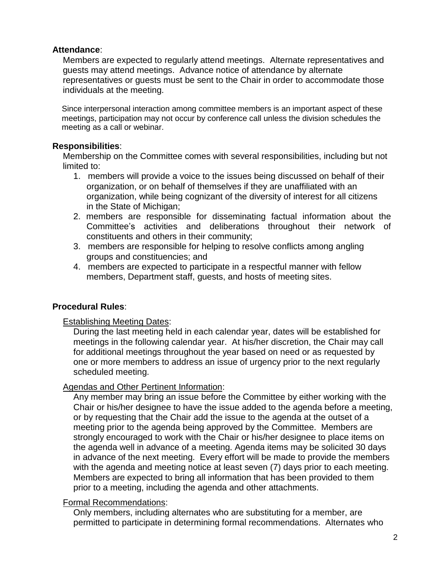#### **Attendance**:

Members are expected to regularly attend meetings. Alternate representatives and guests may attend meetings. Advance notice of attendance by alternate representatives or guests must be sent to the Chair in order to accommodate those individuals at the meeting.

Since interpersonal interaction among committee members is an important aspect of these meetings, participation may not occur by conference call unless the division schedules the meeting as a call or webinar.

### **Responsibilities**:

Membership on the Committee comes with several responsibilities, including but not limited to:

- 1. members will provide a voice to the issues being discussed on behalf of their organization, or on behalf of themselves if they are unaffiliated with an organization, while being cognizant of the diversity of interest for all citizens in the State of Michigan;
- 2. members are responsible for disseminating factual information about the Committee's activities and deliberations throughout their network of constituents and others in their community;
- 3. members are responsible for helping to resolve conflicts among angling groups and constituencies; and
- 4. members are expected to participate in a respectful manner with fellow members, Department staff, guests, and hosts of meeting sites.

## **Procedural Rules**:

### Establishing Meeting Dates:

During the last meeting held in each calendar year, dates will be established for meetings in the following calendar year. At his/her discretion, the Chair may call for additional meetings throughout the year based on need or as requested by one or more members to address an issue of urgency prior to the next regularly scheduled meeting.

## Agendas and Other Pertinent Information:

Any member may bring an issue before the Committee by either working with the Chair or his/her designee to have the issue added to the agenda before a meeting, or by requesting that the Chair add the issue to the agenda at the outset of a meeting prior to the agenda being approved by the Committee. Members are strongly encouraged to work with the Chair or his/her designee to place items on the agenda well in advance of a meeting. Agenda items may be solicited 30 days in advance of the next meeting. Every effort will be made to provide the members with the agenda and meeting notice at least seven (7) days prior to each meeting. Members are expected to bring all information that has been provided to them prior to a meeting, including the agenda and other attachments.

### Formal Recommendations:

Only members, including alternates who are substituting for a member, are permitted to participate in determining formal recommendations. Alternates who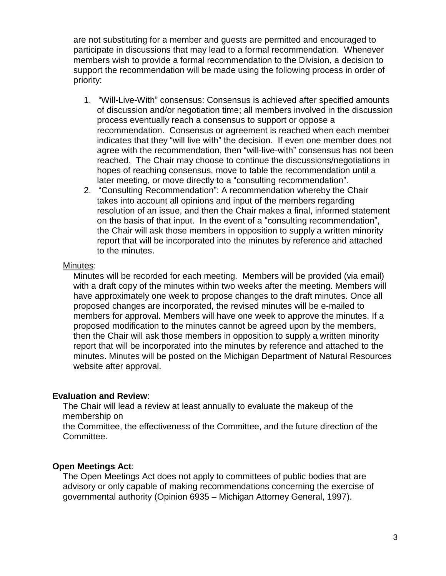are not substituting for a member and guests are permitted and encouraged to participate in discussions that may lead to a formal recommendation. Whenever members wish to provide a formal recommendation to the Division, a decision to support the recommendation will be made using the following process in order of priority:

- 1. "Will-Live-With" consensus: Consensus is achieved after specified amounts of discussion and/or negotiation time; all members involved in the discussion process eventually reach a consensus to support or oppose a recommendation. Consensus or agreement is reached when each member indicates that they "will live with" the decision. If even one member does not agree with the recommendation, then "will-live-with" consensus has not been reached. The Chair may choose to continue the discussions/negotiations in hopes of reaching consensus, move to table the recommendation until a later meeting, or move directly to a "consulting recommendation".
- 2. "Consulting Recommendation": A recommendation whereby the Chair takes into account all opinions and input of the members regarding resolution of an issue, and then the Chair makes a final, informed statement on the basis of that input. In the event of a "consulting recommendation", the Chair will ask those members in opposition to supply a written minority report that will be incorporated into the minutes by reference and attached to the minutes.

#### Minutes:

Minutes will be recorded for each meeting. Members will be provided (via email) with a draft copy of the minutes within two weeks after the meeting. Members will have approximately one week to propose changes to the draft minutes. Once all proposed changes are incorporated, the revised minutes will be e-mailed to members for approval. Members will have one week to approve the minutes. If a proposed modification to the minutes cannot be agreed upon by the members, then the Chair will ask those members in opposition to supply a written minority report that will be incorporated into the minutes by reference and attached to the minutes. Minutes will be posted on the Michigan Department of Natural Resources website after approval.

### **Evaluation and Review**:

The Chair will lead a review at least annually to evaluate the makeup of the membership on

the Committee, the effectiveness of the Committee, and the future direction of the Committee.

## **Open Meetings Act**:

The Open Meetings Act does not apply to committees of public bodies that are advisory or only capable of making recommendations concerning the exercise of governmental authority (Opinion 6935 – Michigan Attorney General, 1997).